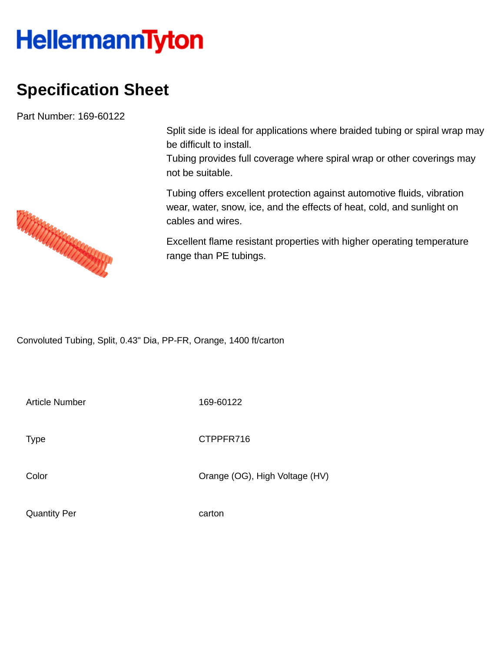## **HellermannTyton**

## **Specification Sheet**

Part Number: 169-60122

Split side is ideal for applications where braided tubing or spiral wrap may be difficult to install.

Tubing provides full coverage where spiral wrap or other coverings may not be suitable.

Tubing offers excellent protection against automotive fluids, vibration wear, water, snow, ice, and the effects of heat, cold, and sunlight on cables and wires.

Excellent flame resistant properties with higher operating temperature range than PE tubings.

Convoluted Tubing, Split, 0.43" Dia, PP-FR, Orange, 1400 ft/carton

Article Number 169-60122

Type **CTPPFR716** 

Color Color Color Color Color Color Color Color Color Color Color Color Color Color Color Color Color Color Co

Quantity Per carton

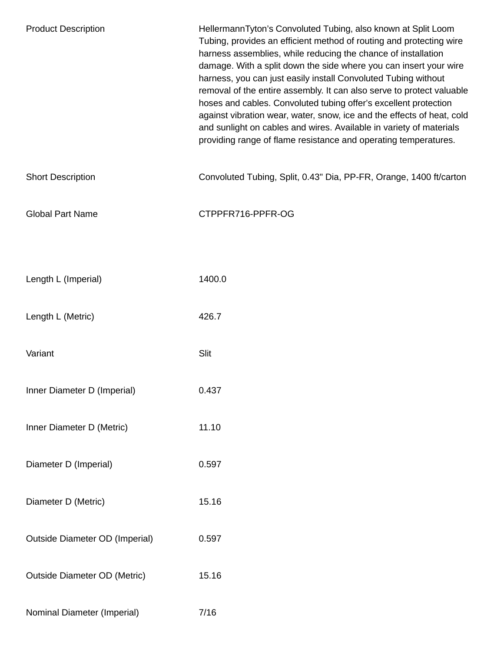| <b>Product Description</b>            | HellermannTyton's Convoluted Tubing, also known at Split Loom<br>Tubing, provides an efficient method of routing and protecting wire<br>harness assemblies, while reducing the chance of installation<br>damage. With a split down the side where you can insert your wire<br>harness, you can just easily install Convoluted Tubing without<br>removal of the entire assembly. It can also serve to protect valuable<br>hoses and cables. Convoluted tubing offer's excellent protection<br>against vibration wear, water, snow, ice and the effects of heat, cold<br>and sunlight on cables and wires. Available in variety of materials<br>providing range of flame resistance and operating temperatures. |
|---------------------------------------|---------------------------------------------------------------------------------------------------------------------------------------------------------------------------------------------------------------------------------------------------------------------------------------------------------------------------------------------------------------------------------------------------------------------------------------------------------------------------------------------------------------------------------------------------------------------------------------------------------------------------------------------------------------------------------------------------------------|
| <b>Short Description</b>              | Convoluted Tubing, Split, 0.43" Dia, PP-FR, Orange, 1400 ft/carton                                                                                                                                                                                                                                                                                                                                                                                                                                                                                                                                                                                                                                            |
| <b>Global Part Name</b>               | CTPPFR716-PPFR-OG                                                                                                                                                                                                                                                                                                                                                                                                                                                                                                                                                                                                                                                                                             |
|                                       |                                                                                                                                                                                                                                                                                                                                                                                                                                                                                                                                                                                                                                                                                                               |
| Length L (Imperial)                   | 1400.0                                                                                                                                                                                                                                                                                                                                                                                                                                                                                                                                                                                                                                                                                                        |
| Length L (Metric)                     | 426.7                                                                                                                                                                                                                                                                                                                                                                                                                                                                                                                                                                                                                                                                                                         |
| Variant                               | Slit                                                                                                                                                                                                                                                                                                                                                                                                                                                                                                                                                                                                                                                                                                          |
| Inner Diameter D (Imperial)           | 0.437                                                                                                                                                                                                                                                                                                                                                                                                                                                                                                                                                                                                                                                                                                         |
| Inner Diameter D (Metric)             | 11.10                                                                                                                                                                                                                                                                                                                                                                                                                                                                                                                                                                                                                                                                                                         |
| Diameter D (Imperial)                 | 0.597                                                                                                                                                                                                                                                                                                                                                                                                                                                                                                                                                                                                                                                                                                         |
| Diameter D (Metric)                   | 15.16                                                                                                                                                                                                                                                                                                                                                                                                                                                                                                                                                                                                                                                                                                         |
| <b>Outside Diameter OD (Imperial)</b> | 0.597                                                                                                                                                                                                                                                                                                                                                                                                                                                                                                                                                                                                                                                                                                         |
| <b>Outside Diameter OD (Metric)</b>   | 15.16                                                                                                                                                                                                                                                                                                                                                                                                                                                                                                                                                                                                                                                                                                         |
| Nominal Diameter (Imperial)           | 7/16                                                                                                                                                                                                                                                                                                                                                                                                                                                                                                                                                                                                                                                                                                          |